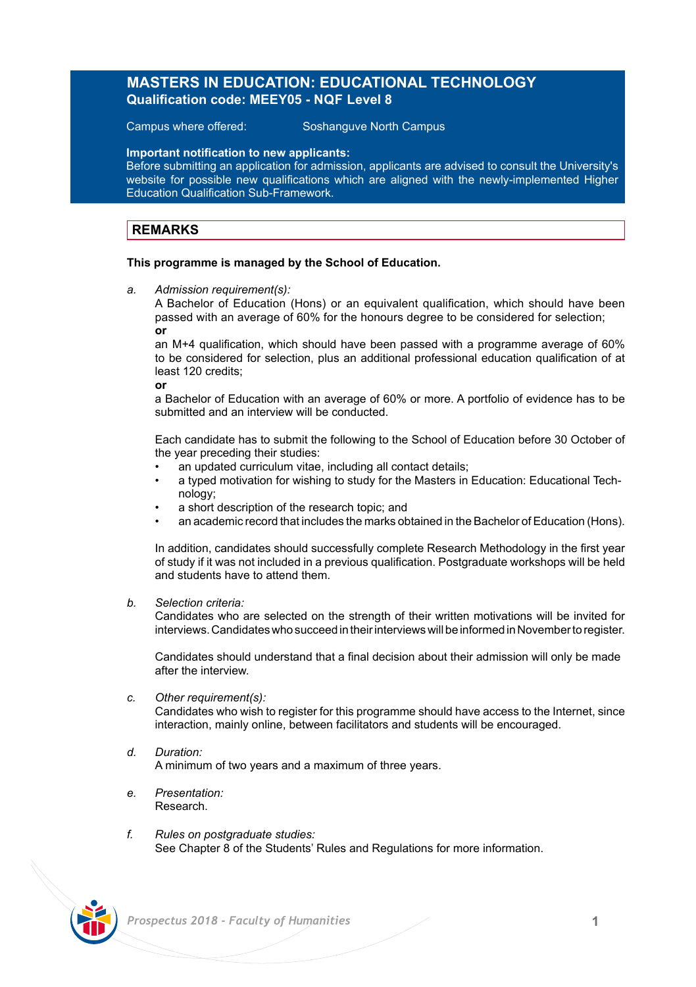## **MASTERS IN EDUCATION: EDUCATIONAL TECHNOLOGY Qualification code: MEEY05 - NQF Level 8**

Campus where offered: Soshanguve North Campus

**Important notification to new applicants:**

Before submitting an application for admission, applicants are advised to consult the University's website for possible new qualifications which are aligned with the newly-implemented Higher Education Qualification Sub-Framework.

## **REMARKS**

## **This programme is managed by the School of Education.**

*a. Admission requirement(s):*

A Bachelor of Education (Hons) or an equivalent qualification, which should have been passed with an average of 60% for the honours degree to be considered for selection; **or** 

an M+4 qualification, which should have been passed with a programme average of 60% to be considered for selection, plus an additional professional education qualification of at least 120 credits;

**or**

a Bachelor of Education with an average of 60% or more. A portfolio of evidence has to be submitted and an interview will be conducted.

Each candidate has to submit the following to the School of Education before 30 October of the year preceding their studies:

- an updated curriculum vitae, including all contact details:
- a typed motivation for wishing to study for the Masters in Education: Educational Technology;
- a short description of the research topic: and
- an academic record that includes the marks obtained in the Bachelor of Education (Hons).

In addition, candidates should successfully complete Research Methodology in the first year of study if it was not included in a previous qualification. Postgraduate workshops will be held and students have to attend them.

*b. Selection criteria:*

Candidates who are selected on the strength of their written motivations will be invited for interviews. Candidates who succeed in their interviews will be informed in November to register.

Candidates should understand that a final decision about their admission will only be made after the interview.

*c. Other requirement(s):*

Candidates who wish to register for this programme should have access to the Internet, since interaction, mainly online, between facilitators and students will be encouraged.

- *d. Duration:* A minimum of two years and a maximum of three years.
- *e. Presentation:*  Research.
- *f. Rules on postgraduate studies:* See Chapter 8 of the Students' Rules and Regulations for more information.